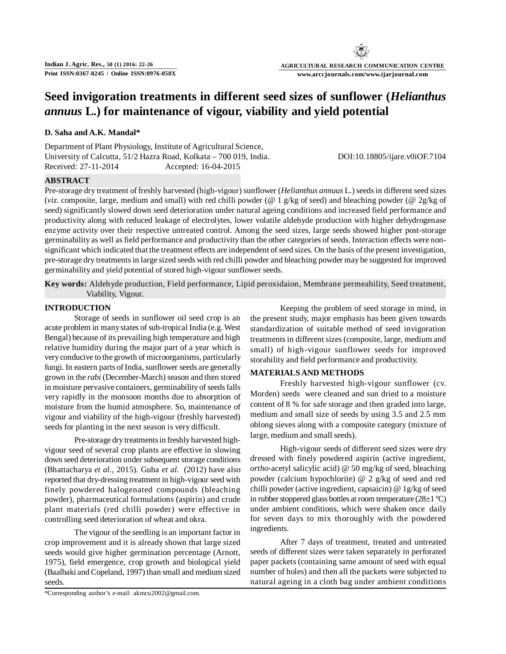# **AGRICULTURAL RESEARCH COMMUNICATION CENTRE www.arccjournals.com/www.ijarjournal.com**

# **Seed invigoration treatments in different seed sizes of sunflower (***Helianthus annuus* **L.) for maintenance of vigour, viability and yield potential**

## **D. Saha and A.K. Mandal\***

Department of Plant Physiology, Institute of Agricultural Science, University of Calcutta, 51/2 Hazra Road, Kolkata – 700 019, India. DOI:10.18805/ijare.v0iOF.7104 Received: 27-11-2014 Accepted: 16-04-2015

## **ABSTRACT**

Pre-storage dry treatment of freshly harvested (high-vigour) sunflower (*Helianthus annuus* L.) seeds in different seed sizes (*viz*. composite, large, medium and small) with red chilli powder (@ 1 g/kg of seed) and bleaching powder (@ 2g/kg of seed) significantly slowed down seed deterioration under natural ageing conditions and increased field performance and productivity along with reduced leakage of electrolytes, lower volatile aldehyde production with higher dehydrogenase enzyme activity over their respective untreated control. Among the seed sizes, large seeds showed higher post-storage germinability as well as field performance and productivity than the other categories of seeds. Interaction effects were nonsignificant which indicated that the treatment effects are independent of seed sizes. On the basis of the present investigation, pre-storage dry treatments in large sized seeds with red chilli powder and bleaching powder may be suggested for improved germinability and yield potential of stored high-vigour sunflower seeds.

**Key words:** Aldehyde production, Field performance, Lipid peroxidaion, Membrane permeability, Seed treatment, Viability, Vigour.

#### **INTRODUCTION**

Storage of seeds in sunflower oil seed crop is an acute problem in many states of sub-tropical India (e.g. West Bengal) because of its prevailing high temperature and high relative humidity during the major part of a year which is very conducive to the growth of microorganisms, particularly fungi. In eastern parts of India, sunflower seeds are generally grown in the *rabi* (December-March) season and then stored in moisture pervasive containers, germinability of seeds falls very rapidly in the monsoon months due to absorption of moisture from the humid atmosphere. So, maintenance of vigour and viability of the high-vigour (freshly harvested) seeds for planting in the next season is very difficult.

Pre-storage dry treatments in freshly harvested highvigour seed of several crop plants are effective in slowing down seed deterioration under subsequent storage conditions (Bhattacharya *et al.,* 2015). Guha *et al.* (2012) have also reported that dry-dressing treatment in high-vigour seed with finely powdered halogenated compounds (bleaching powder), pharmaceutical formulations (aspirin) and crude plant materials (red chilli powder) were effective in controlling seed deterioration of wheat and okra.

The vigour of the seedling is an important factor in crop improvement and it is already shown that large sized seeds would give higher germination percentage (Arnott, 1975), field emergence, crop growth and biological yield (Baalbaki and Copeland, 1997) than small and medium sized seeds.

Keeping the problem of seed storage in mind, in the present study, major emphasis has been given towards standardization of suitable method of seed invigoration treatments in different sizes (composite, large, medium and small) of high-vigour sunflower seeds for improved storability and field performance and productivity.

#### **MATERIALS AND METHODS**

Freshly harvested high-vigour sunflower (cv. Morden) seeds were cleaned and sun dried to a moisture content of 8 % for safe storage and then graded into large, medium and small size of seeds by using 3.5 and 2.5 mm oblong sieves along with a composite category (mixture of large, medium and small seeds).

High-vigour seeds of different seed sizes were dry dressed with finely powdered aspirin (active ingredient, *ortho*-acetyl salicylic acid) @ 50 mg/kg of seed, bleaching powder (calcium hypochlorite) @ 2 g/kg of seed and red chilli powder (active ingredient, capsaicin) @ 1g/kg of seed in rubber stoppered glass bottles at room temperature  $(28\pm1\degree C)$ under ambient conditions, which were shaken once daily for seven days to mix thoroughly with the powdered ingredients.

After 7 days of treatment, treated and untreated seeds of different sizes were taken separately in perforated paper packets (containing same amount of seed with equal number of holes) and then all the packets were subjected to natural ageing in a cloth bag under ambient conditions

\*Corresponding author's e-mail: akmcu2002@gmail.com.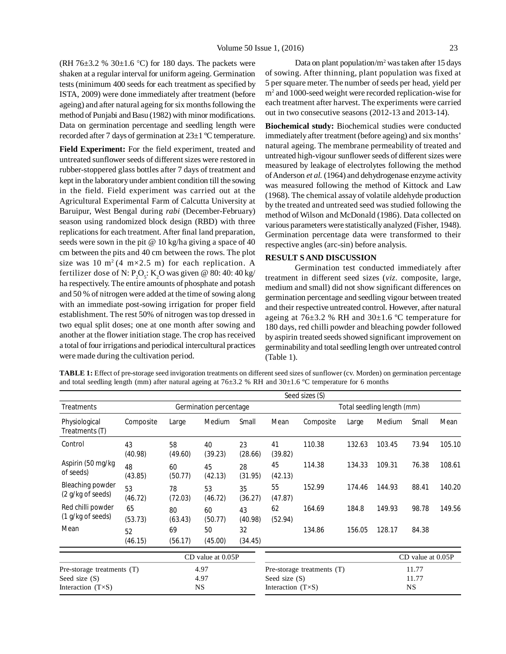(RH 76 $\pm$ 3.2 % 30 $\pm$ 1.6 °C) for 180 days. The packets were shaken at a regular interval for uniform ageing. Germination tests (minimum 400 seeds for each treatment as specified by ISTA, 2009) were done immediately after treatment (before ageing) and after natural ageing for six months following the method of Punjabi and Basu (1982) with minor modifications. Data on germination percentage and seedling length were recorded after 7 days of germination at 23±1 ºC temperature.

**Field Experiment:** For the field experiment, treated and untreated sunflower seeds of different sizes were restored in rubber-stoppered glass bottles after 7 days of treatment and kept in the laboratory under ambient condition till the sowing in the field. Field experiment was carried out at the Agricultural Experimental Farm of Calcutta University at Baruipur, West Bengal during *rabi* (December-February) season using randomized block design (RBD) with three replications for each treatment. After final land preparation, seeds were sown in the pit @ 10 kg/ha giving a space of 40 cm between the pits and 40 cm between the rows. The plot size was 10 m<sup>2</sup>(4 m×2.5 m) for each replication. A fertilizer dose of N:  $P_2O_5$ : K<sub>2</sub>O was given @ 80: 40: 40 kg/ ha respectively. The entire amounts of phosphate and potash and 50 % of nitrogen were added at the time of sowing along with an immediate post-sowing irrigation for proper field establishment. The rest 50% of nitrogen was top dressed in two equal split doses; one at one month after sowing and another at the flower initiation stage. The crop has received a total of four irrigations and periodical intercultural practices were made during the cultivation period.

Data on plant population/m<sup>2</sup> was taken after 15 days of sowing. After thinning, plant population was fixed at 5 per square meter. The number of seeds per head, yield per m<sup>2</sup> and 1000-seed weight were recorded replication-wise for each treatment after harvest. The experiments were carried out in two consecutive seasons (2012-13 and 2013-14).

**Biochemical study:** Biochemical studies were conducted immediately after treatment (before ageing) and six months' natural ageing. The membrane permeability of treated and untreated high-vigour sunflower seeds of different sizes were measured by leakage of electrolytes following the method of Anderson *et al.* (1964) and dehydrogenase enzyme activity was measured following the method of Kittock and Law (1968). The chemical assay of volatile aldehyde production by the treated and untreated seed was studied following the method of Wilson and McDonald (1986). Data collected on various parameters were statistically analyzed (Fisher, 1948). Germination percentage data were transformed to their respective angles (arc-sin) before analysis.

#### **RESULT S AND DISCUSSION**

Germination test conducted immediately after treatment in different seed sizes (*viz*. composite, large, medium and small) did not show significant differences on germination percentage and seedling vigour between treated and their respective untreated control. However, after natural ageing at  $76\pm3.2$  % RH and  $30\pm1.6$  °C temperature for 180 days, red chilli powder and bleaching powder followed by aspirin treated seeds showed significant improvement on germinability and total seedling length over untreated control (Table 1).

**TABLE 1:** Effect of pre-storage seed invigoration treatments on different seed sizes of sunflower (cv. Morden) on germination percentage and total seedling length (mm) after natural ageing at 76±3.2 % RH and 30±1.6 °C temperature for 6 months

|                                                                             |               |               |                        |               |                                               | Seed sizes (S)             |        |                            |                             |        |
|-----------------------------------------------------------------------------|---------------|---------------|------------------------|---------------|-----------------------------------------------|----------------------------|--------|----------------------------|-----------------------------|--------|
| <b>Treatments</b>                                                           |               |               | Germination percentage |               |                                               |                            |        | Total seedling length (mm) |                             |        |
| Physiological<br>Treatments (T)                                             | Composite     | Large         | Medium                 | Small         | Mean                                          | Composite                  | Large  | Medium                     | Small                       | Mean   |
| Control                                                                     | 43<br>(40.98) | 58<br>(49.60) | 40<br>(39.23)          | 23<br>(28.66) | 41<br>(39.82)                                 | 110.38                     | 132.63 | 103.45                     | 73.94                       | 105.10 |
| Aspirin (50 mg/kg<br>of seeds)                                              | 48<br>(43.85) | 60<br>(50.77) | 45<br>(42.13)          | 28<br>(31.95) | 45<br>(42.13)                                 | 114.38                     | 134.33 | 109.31                     | 76.38                       | 108.61 |
| Bleaching powder<br>(2 g/kg of seeds)                                       | 53<br>(46.72) | 78<br>(72.03) | 53<br>(46.72)          | 35<br>(36.27) | 55<br>(47.87)                                 | 152.99                     | 174.46 | 144.93                     | 88.41                       | 140.20 |
| Red chilli powder<br>(1 g/kg of seeds)                                      | 65<br>(53.73) | 80<br>(63.43) | 60<br>(50.77)          | 43<br>(40.98) | 62<br>(52.94)                                 | 164.69                     | 184.8  | 149.93                     | 98.78                       | 149.56 |
| Mean                                                                        | 52<br>(46.15) | 69<br>(56.17) | 50<br>(45.00)          | 32<br>(34.45) |                                               | 134.86                     | 156.05 | 128.17                     | 84.38                       |        |
|                                                                             |               |               | CD value at 0.05P      |               |                                               |                            |        |                            | CD value at 0.05P           |        |
| Pre-storage treatments (T)<br>Seed size $(S)$<br>Interaction $(T \times S)$ |               |               | 4.97<br>4.97<br>NS.    |               | Seed size $(S)$<br>Interaction $(T \times S)$ | Pre-storage treatments (T) |        |                            | 11.77<br>11.77<br><b>NS</b> |        |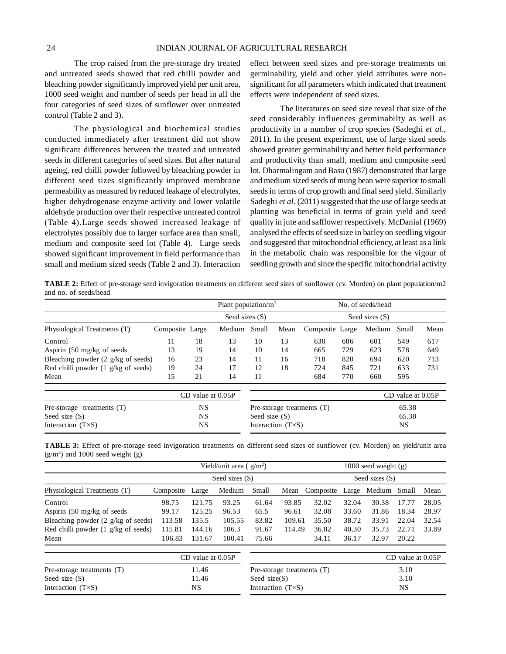The crop raised from the pre-storage dry treated and untreated seeds showed that red chilli powder and bleaching powder significantly improved yield per unit area, 1000 seed weight and number of seeds per head in all the four categories of seed sizes of sunflower over untreated control (Table 2 and 3).

The physiological and biochemical studies conducted immediately after treatment did not show significant differences between the treated and untreated seeds in different categories of seed sizes. But after natural ageing, red chilli powder followed by bleaching powder in different seed sizes significantly improved membrane permeability as measured by reduced leakage of electrolytes, higher dehydrogenase enzyme activity and lower volatile aldehyde production over their respective untreated control (Table 4).Large seeds showed increased leakage of electrolytes possibly due to larger surface area than small, medium and composite seed lot (Table 4). Large seeds showed significant improvement in field performance than small and medium sized seeds (Table 2 and 3). Interaction

effect between seed sizes and pre-storage treatments on germinability, yield and other yield attributes were nonsignificant for all parameters which indicated that treatment effects were independent of seed sizes.

The literatures on seed size reveal that size of the seed considerably influences germinabilty as well as productivity in a number of crop species (Sadeghi *et al*., 2011). In the present experiment, use of large sized seeds showed greater germinability and better field performance and productivity than small, medium and composite seed lot. Dharmalingam and Basu (1987) demonstrated that large and medium sized seeds of mung bean were superior to small seeds in terms of crop growth and final seed yield. Similarly Sadeghi *et al*. (2011) suggested that the use of large seeds at planting was beneficial in terms of grain yield and seed quality in jute and safflower respectively. McDanial (1969) analysed the effects of seed size in barley on seedling vigour and suggested that mitochondrial efficiency, at least as a link in the metabolic chain was responsible for the vigour of seedling growth and since the specific mitochondrial activity

**TABLE 2:** Effect of pre-storage seed invigoration treatments on different seed sizes of sunflower (cv. Morden) on plant population/m2 and no. of seeds/head

|                                               |                 |           | Plant population/ $m2$ |                 |                            | No. of seeds/head            |     |                  |                       |      |
|-----------------------------------------------|-----------------|-----------|------------------------|-----------------|----------------------------|------------------------------|-----|------------------|-----------------------|------|
|                                               |                 |           | Seed sizes $(S)$       |                 |                            |                              |     | Seed sizes $(S)$ |                       |      |
| Physiological Treatments (T)                  | Composite Large |           | Medium                 | Small           | Mean                       | Composite Large              |     | Medium           | Small                 | Mean |
| Control                                       | 11              | 18        | 13                     | 10              | 13                         | 630                          | 686 | 601              | 549                   | 617  |
| Aspirin $(50 \text{ mg/kg of seeds})$         | 13              | 19        | 14                     | 10              | 14                         | 665                          | 729 | 623              | 578                   | 649  |
| Bleaching powder $(2 \frac{g}{kg})$ of seeds) | 16              | 23        | 14                     | 11              | 16                         | 718                          | 820 | 694              | 620                   | 713  |
| Red chilli powder $(1 \text{ g/kg of seeds})$ | 19              | 24        | 17                     | 12              | 18                         | 724                          | 845 | 721              | 633                   | 731  |
| Mean                                          | 15              | 21        | 14                     | 11              |                            | 684                          | 770 | 660              | 595                   |      |
|                                               |                 |           | $CD$ value at $0.05P$  |                 |                            |                              |     |                  | $CD$ value at $0.05P$ |      |
| Pre-storage treatments $(T)$                  |                 | <b>NS</b> |                        |                 |                            | Pre-storage treatments $(T)$ |     | 65.38            |                       |      |
| Seed size $(S)$                               |                 | <b>NS</b> |                        | Seed size $(S)$ |                            |                              |     |                  | 65.38                 |      |
| Interaction $(T \times S)$                    |                 | <b>NS</b> |                        |                 | Interaction $(T \times S)$ |                              |     |                  | NS                    |      |

**TABLE 3:** Effect of pre-storage seed invigoration treatments on different seed sizes of sunflower (cv. Morden) on yield/unit area  $(g/m<sup>2</sup>)$  and 1000 seed weight  $(g)$ 

|                                               |           |                       | Yield/unit area $(g/m^2)$ |                            |        |           |       | $1000$ seed weight $(g)$ |                       |       |
|-----------------------------------------------|-----------|-----------------------|---------------------------|----------------------------|--------|-----------|-------|--------------------------|-----------------------|-------|
|                                               |           |                       | Seed sizes $(S)$          |                            |        |           |       | Seed sizes (S)           |                       |       |
| Physiological Treatments (T)                  | Composite | Large                 | Medium                    | Small                      | Mean   | Composite | Large | Medium                   | Small                 | Mean  |
| Control                                       | 98.75     | 121.75                | 93.25                     | 61.64                      | 93.85  | 32.02     | 32.04 | 30.38                    | 17.77                 | 28.05 |
| Aspirin $(50 \text{ mg/kg of seeds})$         | 99.17     | 125.25                | 96.53                     | 65.5                       | 96.61  | 32.08     | 33.60 | 31.86                    | 18.34                 | 28.97 |
| Bleaching powder $(2 \frac{g}{kg})$ of seeds) | 113.58    | 135.5                 | 105.55                    | 83.82                      | 109.61 | 35.50     | 38.72 | 33.91                    | 22.04                 | 32.54 |
| Red chilli powder $(1 \text{ g/kg of seeds})$ | 115.81    | 144.16                | 106.3                     | 91.67                      | 114.49 | 36.82     | 40.30 | 35.73                    | 22.71                 | 33.89 |
| Mean                                          | 106.83    | 131.67                | 100.41                    | 75.66                      |        | 34.11     | 36.17 | 32.97                    | 20.22                 |       |
|                                               |           | $CD$ value at $0.05P$ |                           |                            |        |           |       |                          | $CD$ value at $0.05P$ |       |
| Pre-storage treatments (T)                    |           | 11.46                 |                           | Pre-storage treatments (T) |        |           |       |                          |                       |       |
| Seed size $(S)$                               |           | 11.46                 |                           | Seed $size(S)$             |        |           |       |                          | 3.10                  |       |
| Interaction $(T \times S)$                    |           | NS                    |                           | Interaction $(T \times S)$ |        |           |       |                          | <b>NS</b>             |       |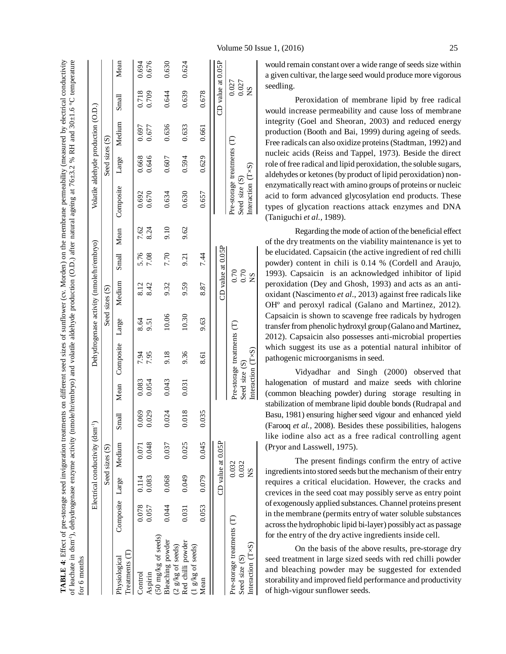|                                                                           |                 |       | Electrical conductivity (dsm <sup>-1</sup> ) |       |               |                            |       | Dehydrogenase activity (nmole/hr/embryo) |                     |      |                                                                  |                | Volatile aldehyde production (O.D.) |                             |       |
|---------------------------------------------------------------------------|-----------------|-------|----------------------------------------------|-------|---------------|----------------------------|-------|------------------------------------------|---------------------|------|------------------------------------------------------------------|----------------|-------------------------------------|-----------------------------|-------|
|                                                                           |                 |       | Seed sizes (S)                               |       |               |                            |       | Seed sizes (S)                           |                     |      |                                                                  | Seed sizes (S) |                                     |                             |       |
| Treatments (T)<br>Physiological                                           | Composite Large |       | Medium                                       | Small |               | Mean Composite Large       |       | Medium                                   | Small Mean          |      | Composite                                                        | Large          | Medium                              | Small                       | Mean  |
| Control                                                                   | 0.078           | 0.114 | 0.071                                        | 0.069 | 0.083         | 7.94                       | 8.64  | 8.12                                     | 5.76                | 7.62 | 0.692                                                            | 0.668          | 0.697                               | 0.718                       | 0.694 |
| Aspirin                                                                   | 0.057           | 0.083 | 0.048                                        | 0.029 | 0.054         | 7.95                       | 9.51  | 8.42                                     | 7.08                | 8.24 | 0.670                                                            | 0.646          | 0.677                               | 0.709                       | 0.676 |
| (50 mg/kg of seeds)                                                       |                 |       |                                              |       |               |                            |       |                                          |                     |      |                                                                  |                |                                     |                             |       |
| Bleaching powder                                                          | 0.044           | 0.068 | 0.037                                        | 0.024 | 0.043         | 9.18                       | 10.06 | 9.32                                     | 7.70                | 9.10 | 0.634                                                            | 0.607          | 0.636                               | 0.644                       | 0.630 |
| (2 g/kg of seeds)                                                         |                 |       |                                              |       |               |                            |       |                                          |                     |      |                                                                  |                |                                     |                             |       |
| Red chilli powder<br>(1 g/kg of seeds)                                    | 0.031           | 0.049 | 0.025                                        | 0.018 | 0.031         | 9.36                       | 10.30 | 9.59                                     | 9.21                | 9.62 | 0.630                                                            | 0.594          | 0.633                               | 0.639                       | 0.624 |
| Mean                                                                      | 0.053           | 0.079 | 0.045                                        | 0.035 |               | 8.61                       | 9.63  | 8.87                                     | 7.44                |      | 0.657                                                            | 0.629          | 0.661                               | 0.678                       |       |
|                                                                           |                 |       | CD value at 0.05P                            |       |               |                            |       |                                          | CD value at $0.05P$ |      |                                                                  |                |                                     | CD value at 0.05P           |       |
| Pre-storage treatments (T)<br>Interaction $(T \times S)$<br>Seed size (S) |                 | ŠN    | 0.032<br>0.032                               |       | Seed size (S) | Pre-storage treatments (T) |       | 0.70<br>0.70                             |                     |      | Pre-storage treatments (T)<br>Interaction (T×S)<br>Seed size (S) |                |                                     | 0.027<br>0.027<br><b>SN</b> |       |
|                                                                           |                 |       |                                              |       |               | Interaction (T×S)          |       | SN                                       |                     |      |                                                                  |                |                                     |                             |       |

TABLE 4: Effect of pre-storage seed invigoration treatments on different seed sizes of sunflower (cv. Morden) on the membrane permeability (measured by electrical conductivity

#### Volume 50 Issue 1, (2016) 25

would remain constant over a wide range of seeds size within a given cultivar, the large seed would produce more vigorous seedling.

Peroxidation of membrane lipid by free radical would increase permeability and cause loss of membrane integrity (Goel and Sheoran, 2003) and reduced energy production (Booth and Bai, 1999) during ageing of seeds. Free radicals can also oxidize proteins (Stadtman, 1992) and nucleic acids (Reiss and Tappel, 1973). Beside the direct role of free radical and lipid peroxidation, the soluble sugars, aldehydes or ketones (by product of lipid peroxidation) nonenzymatically react with amino groups of proteins or nucleic acid to form advanced glycosylation end products. These types of glycation reactions attack enzymes and DNA (Taniguchi *et al.,* 1989).

Regarding the mode of action of the beneficial effect of the dry treatments on the viability maintenance is yet to be elucidated. Capsaicin (the active ingredient of red chilli powder) content in chili is 0.14 % (Cordell and Araujo, 1993). Capsaicin is an acknowledged inhibitor of lipid peroxidation (Dey and Ghosh, 1993) and acts as an antioxidant (Nascimento *et al*., 2013) against free radicals like OHº and peroxyl radical (Galano and Martinez, 2012). Capsaicin is shown to scavenge free radicals by hydrogen transfer from phenolic hydroxyl group (Galano and Martinez, 2012). Capsaicin also possesses anti-microbial properties which suggest its use as a potential natural inhibitor of pathogenic microorganisms in seed.

Vidyadhar and Singh (2000) observed that halogenation of mustard and maize seeds with chlorine (common bleaching powder) during storage resulting in stabilization of membrane lipid double bonds (Rudrapal and Basu, 1981) ensuring higher seed vigour and enhanced yield (Farooq *et al.,* 2008). Besides these possibilities, halogens like iodine also act as a free radical controlling agent (Pryor and Lasswell, 1975).

The present findings confirm the entry of active ingredients into stored seeds but the mechanism of their entry requires a critical elucidation. However, the cracks and crevices in the seed coat may possibly serve as entry point of exogenously applied substances. Channel proteins present in the membrane (permits entry of water soluble substances across the hydrophobic lipid bi-layer) possibly act as passage for the entry of the dry active ingredients inside cell.

On the basis of the above results, pre-storage dry seed treatment in large sized seeds with red chilli powder and bleaching powder may be suggested for extended storability and improved field performance and productivity of high-vigour sunflower seeds.